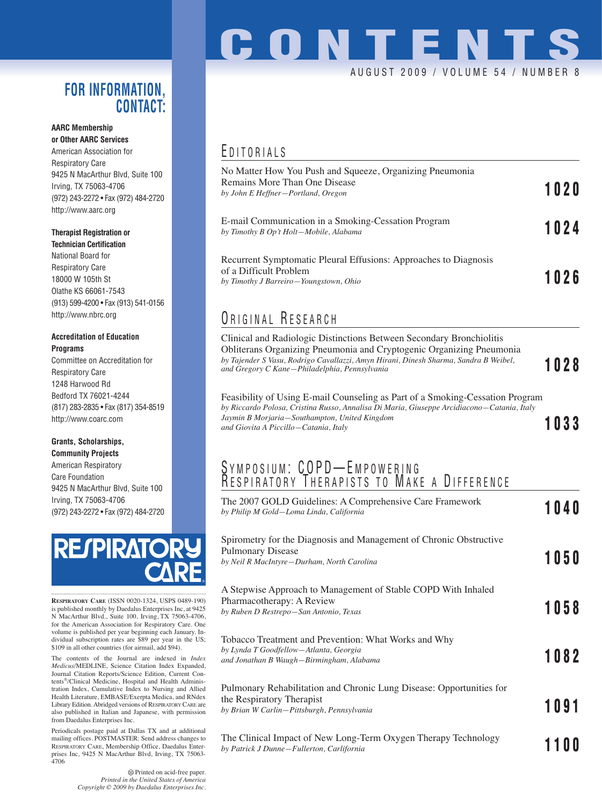### **FOR INFORMATION, CONTACT:**

#### **AARC Membership or Other AARC Services**

American Association for Respiratory Care 9425 N MacArthur Blvd, Suite 100 Irving, TX 75063-4706 (972) 243-2272 • Fax (972) 484-2720 http://www.aarc.org

### **Therapist Registration or**

**Technician Certification** National Board for Respiratory Care 18000 W 105th St Olathe KS 66061-7543 (913) 599-4200 • Fax (913) 541-0156 http://www.nbrc.org

#### **Accreditation of Education Programs**

Committee on Accreditation for Respiratory Care 1248 Harwood Rd Bedford TX 76021-4244 (817) 283-2835 • Fax (817) 354-8519 http://www.coarc.com

#### **Grants, Scholarships, Community Projects**

American Respiratory Care Foundation 9425 N MacArthur Blvd, Suite 100 Irving, TX 75063-4706 (972) 243-2272 • Fax (972) 484-2720



**RESPIRATORY CARE** (ISSN 0020-1324, USPS 0489-190) is published monthly by Daedalus Enterprises Inc, at 9425 N MacArthur Blvd., Suite 100, Irving, TX 75063-4706, for the American Association for Respiratory Care. One volume is published per year beginning each January. Individual subscription rates are \$89 per year in the US; \$109 in all other countries (for airmail, add \$94).

The contents of the Journal are indexed in *Index Medicus*/MEDLINE, Science Citation Index Expanded, Journal Citation Reports/Science Edition, Current Contents®/Clinical Medicine, Hospital and Health Administration Index, Cumulative Index to Nursing and Allied Health Literature, EMBASE/Exerpta Medica, and RNdex Library Edition. Abridged versions of RESPIRATORY CARE are also published in Italian and Japanese, with permission from Daedalus Enterprises Inc.

Periodicals postage paid at Dallas TX and at additional mailing offices. POSTMASTER: Send address changes to RESPIRATORY CARE, Membership Office, Daedalus Enterprises Inc, 9425 N MacArthur Blvd, Irving, TX 75063- 4706

> Printed on acid-free paper. *Printed in the United States of America Copyright © 2009 by Daedalus Enterprises Inc.*

## **CONTENTS** AUGUST 2009 / VOLUME 54 / NUMBER 8

## E DITORIALS

| No Matter How You Push and Squeeze, Organizing Pneumonia<br>Remains More Than One Disease<br>by John E Heffner-Portland, Oregon                                                                                                                                                       | 1020 |
|---------------------------------------------------------------------------------------------------------------------------------------------------------------------------------------------------------------------------------------------------------------------------------------|------|
| E-mail Communication in a Smoking-Cessation Program<br>by Timothy B Op't Holt-Mobile, Alabama                                                                                                                                                                                         | 1024 |
| Recurrent Symptomatic Pleural Effusions: Approaches to Diagnosis<br>of a Difficult Problem<br>by Timothy J Barreiro-Youngstown, Ohio                                                                                                                                                  | 1026 |
| ORIGINAL RESEARCH                                                                                                                                                                                                                                                                     |      |
| Clinical and Radiologic Distinctions Between Secondary Bronchiolitis<br>Obliterans Organizing Pneumonia and Cryptogenic Organizing Pneumonia<br>by Tajender S Vasu, Rodrigo Cavallazzi, Amyn Hirani, Dinesh Sharma, Sandra B Weibel,<br>and Gregory C Kane–Philadelphia, Pennsylvania | 1028 |

Feasibility of Using E-mail Counseling as Part of a Smoking-Cessation Program *by Riccardo Polosa, Cristina Russo, Annalisa Di Maria, Giuseppe Arcidiacono—Catania, Italy Jaymin B Morjaria—Southampton, United Kingdom and Giovita A Piccillo—Catania, Italy* **1033**

### S YMPOSIUM: COPD—EMPOWERING R ESPIRATORY T HERAPISTS TO M AKE A D IFFERENCE

| The 2007 GOLD Guidelines: A Comprehensive Care Framework<br>by Philip M Gold-Loma Linda, California                                             | 1040 |
|-------------------------------------------------------------------------------------------------------------------------------------------------|------|
| Spirometry for the Diagnosis and Management of Chronic Obstructive<br><b>Pulmonary Disease</b><br>by Neil R MacIntyre-Durham, North Carolina    | 1050 |
| A Stepwise Approach to Management of Stable COPD With Inhaled<br>Pharmacotherapy: A Review<br>by Ruben D Restrepo-San Antonio, Texas            | 1058 |
| Tobacco Treatment and Prevention: What Works and Why<br>by Lynda T Goodfellow-Atlanta, Georgia<br>and Jonathan B Waugh-Birmingham, Alabama      | 1082 |
| Pulmonary Rehabilitation and Chronic Lung Disease: Opportunities for<br>the Respiratory Therapist<br>by Brian W Carlin-Pittsburgh, Pennsylvania | 1091 |
| The Clinical Impact of New Long-Term Oxygen Therapy Technology<br>by Patrick J Dunne-Fullerton, Carlifornia                                     | 1100 |